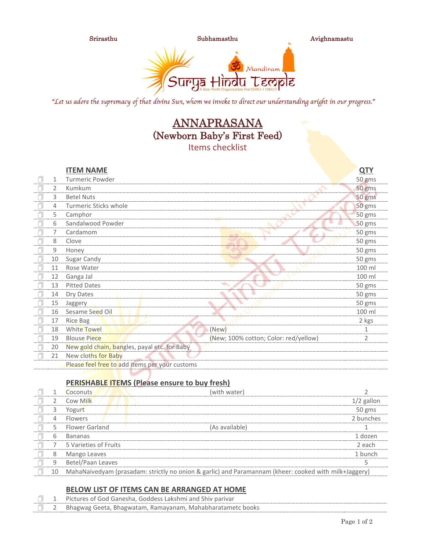

"Let us adore the supremacy of that divine Sun, whom we invoke to direct our understanding aright in our progress."

# ANNAPRASANA (Newborn Baby's First Feed) Items checklist

|    |                   | <b>ITEM NAME</b>                               |                                       | <u>QTY</u>     |
|----|-------------------|------------------------------------------------|---------------------------------------|----------------|
| 7  | 1                 | <b>Turmeric Powder</b>                         |                                       | 50 gms         |
| ń  | 2                 | Kumkum                                         |                                       | 50 gms         |
| f  | 3                 | <b>Betel Nuts</b>                              |                                       | 50 gms         |
| Ō  | 4                 | Turmeric Sticks whole                          |                                       | 50 gms         |
| ñ  | 5                 | Camphor                                        |                                       | 50 gms         |
| ſ. | 6                 | Sandalwood Powder                              |                                       | 50 gms         |
| Ą  | 7                 | Cardamom                                       |                                       | 50 gms         |
| f  | 8                 | Clove                                          |                                       | 50 gms         |
| f  | 9                 | Honey                                          |                                       | 50 gms         |
| Ą  | 10                | Sugar Candy                                    |                                       | 50 gms         |
| Ñ  | 11                | Rose Water                                     |                                       | 100 ml         |
|    | $12 \overline{ }$ | Ganga Jal                                      |                                       | 100 ml         |
| f  | 13                | <b>Pitted Dates</b>                            |                                       | 50 gms         |
| Ī  | 14                | Dry Dates                                      |                                       | 50 gms         |
| f  | 15                | Jaggery                                        |                                       | 50 gms         |
| f  | 16                | Sesame Seed Oil                                |                                       | 100 ml         |
| 门  | 17                | <b>Rice Bag</b>                                |                                       | 2 kgs          |
| f  | 18                | White Towel                                    | (New)                                 | 1              |
| 7  | 19                | <b>Blouse Piece</b>                            | (New; 100% cotton; Color: red/yellow) | $\overline{2}$ |
| ń  | 20                | New gold chain, bangles, payal etc. for Baby   |                                       |                |
| Ą  | 21                | New cloths for Baby                            |                                       |                |
|    |                   | Please feel free to add items per your customs |                                       |                |
|    |                   |                                                |                                       |                |

### **PERISHABLE ITEMS (Please ensure to buy fresh)**

|    | Coconuts              | (with water)                                                                                          |              |
|----|-----------------------|-------------------------------------------------------------------------------------------------------|--------------|
|    | Cow Milk              |                                                                                                       | $1/2$ gallon |
| 3  | Yogurt                |                                                                                                       | 50 gms       |
| 4  | <b>Flowers</b>        |                                                                                                       | 2 bunches    |
| 5  | <b>Flower Garland</b> | (As available)                                                                                        |              |
| 6  | <b>Bananas</b>        |                                                                                                       | 1 dozen      |
|    | 5 Varieties of Fruits |                                                                                                       | 2 each       |
| 8  | Mango Leaves          |                                                                                                       | 1 bunch      |
| 9  | Betel/Paan Leaves     |                                                                                                       |              |
| 10 |                       | MahaNaivedyam (prasadam: strictly no onion & garlic) and Paramannam (kheer: cooked with milk+Jaggery) |              |

### **BELOW LIST OF ITEMS CAN BE ARRANGED AT HOME**

|  | Pictures of God Ganesha, Goddess Lakshmi and Shiv parivar  |
|--|------------------------------------------------------------|
|  | Bhagwag Geeta, Bhagwatam, Ramayanam, Mahabharatametc books |